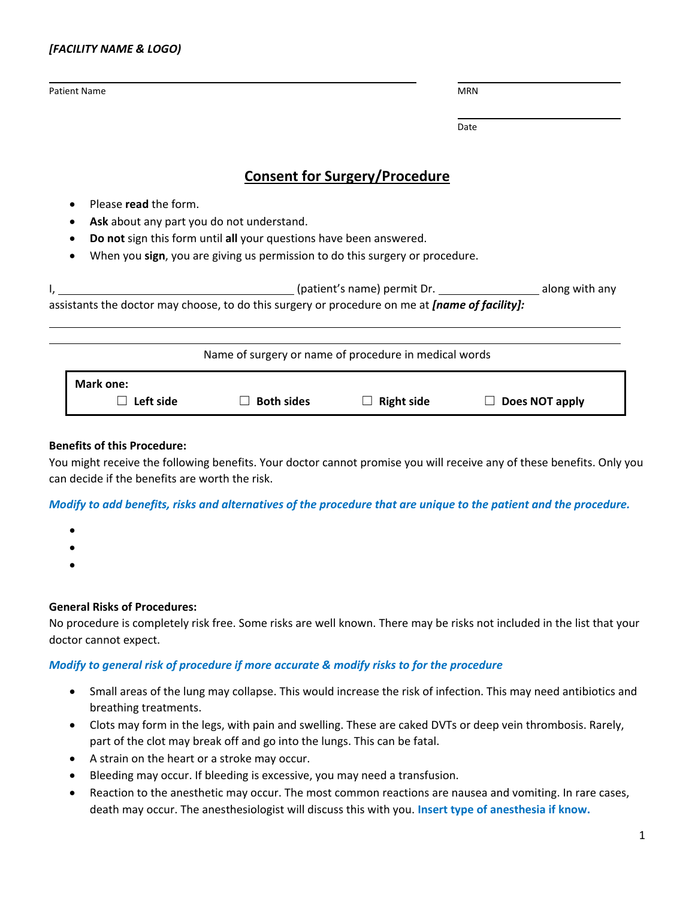| <b>Patient Name</b>                                                                                    |                             |                                                                              | <b>MRN</b>     |  |
|--------------------------------------------------------------------------------------------------------|-----------------------------|------------------------------------------------------------------------------|----------------|--|
|                                                                                                        |                             |                                                                              | Date           |  |
|                                                                                                        |                             | <b>Consent for Surgery/Procedure</b>                                         |                |  |
| Please read the form.                                                                                  |                             |                                                                              |                |  |
| Ask about any part you do not understand.                                                              |                             |                                                                              |                |  |
| Do not sign this form until all your questions have been answered.                                     |                             |                                                                              |                |  |
|                                                                                                        |                             | When you sign, you are giving us permission to do this surgery or procedure. |                |  |
|                                                                                                        |                             |                                                                              |                |  |
| assistants the doctor may choose, to do this surgery or procedure on me at <i>[name of facility]</i> : |                             |                                                                              |                |  |
|                                                                                                        |                             | Name of surgery or name of procedure in medical words                        |                |  |
| Mark one:                                                                                              |                             |                                                                              |                |  |
| Left side                                                                                              | <b>Both sides</b><br>$\Box$ | <b>Right side</b>                                                            | Does NOT apply |  |

# **Benefits of this Procedure:**

You might receive the following benefits. Your doctor cannot promise you will receive any of these benefits. Only you can decide if the benefits are worth the risk.

## *Modify to add benefits, risks and alternatives of the procedure that are unique to the patient and the procedure.*

- •
- •
- •

## **General Risks of Procedures:**

No procedure is completely risk free. Some risks are well known. There may be risks not included in the list that your doctor cannot expect.

## *Modify to general risk of procedure if more accurate & modify risks to for the procedure*

- Small areas of the lung may collapse. This would increase the risk of infection. This may need antibiotics and breathing treatments.
- Clots may form in the legs, with pain and swelling. These are caked DVTs or deep vein thrombosis. Rarely, part of the clot may break off and go into the lungs. This can be fatal.
- A strain on the heart or a stroke may occur.
- Bleeding may occur. If bleeding is excessive, you may need a transfusion.
- Reaction to the anesthetic may occur. The most common reactions are nausea and vomiting. In rare cases, death may occur. The anesthesiologist will discuss this with you. **Insert type of anesthesia if know.**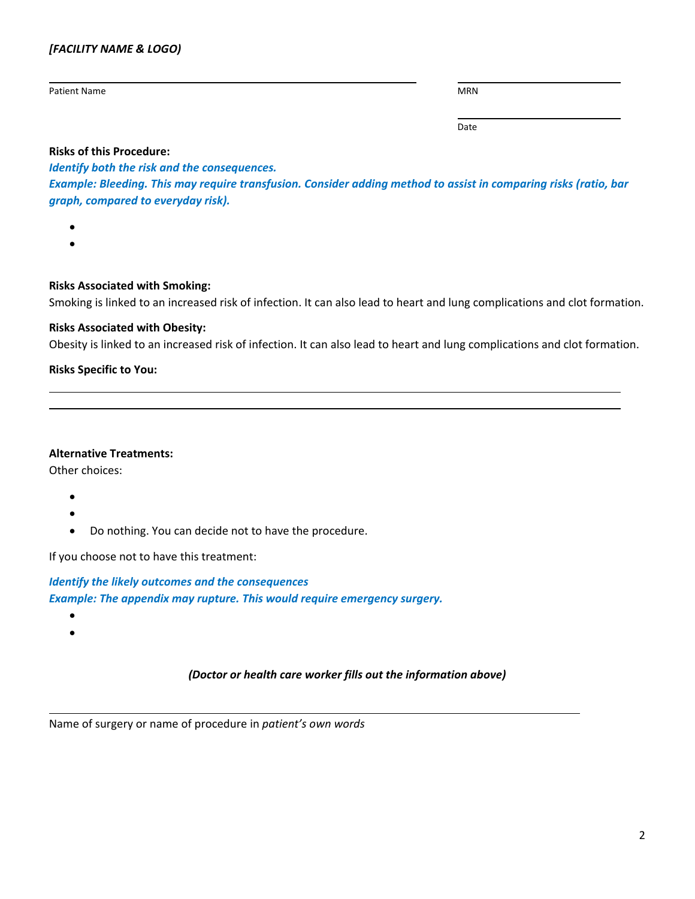## *[FACILITY NAME & LOGO)*

Patient Name MRN Name MRN Name MRN Name MRN Name MRN Name MRN Name MRN Name MRN Name MRN Name MRN Name MRN Name MRN

Date

## **Risks of this Procedure:**

## *Identify both the risk and the consequences.*

*Example: Bleeding. This may require transfusion. Consider adding method to assist in comparing risks (ratio, bar graph, compared to everyday risk).* 

- •
- •

## **Risks Associated with Smoking:**

Smoking is linked to an increased risk of infection. It can also lead to heart and lung complications and clot formation.

# **Risks Associated with Obesity:**

Obesity is linked to an increased risk of infection. It can also lead to heart and lung complications and clot formation.

# **Risks Specific to You:**

## **Alternative Treatments:**

Other choices:

- •
- •
- Do nothing. You can decide not to have the procedure.

If you choose not to have this treatment:

*Identify the likely outcomes and the consequences Example: The appendix may rupture. This would require emergency surgery.* 

• •

# *(Doctor or health care worker fills out the information above)*

Name of surgery or name of procedure in *patient's own words*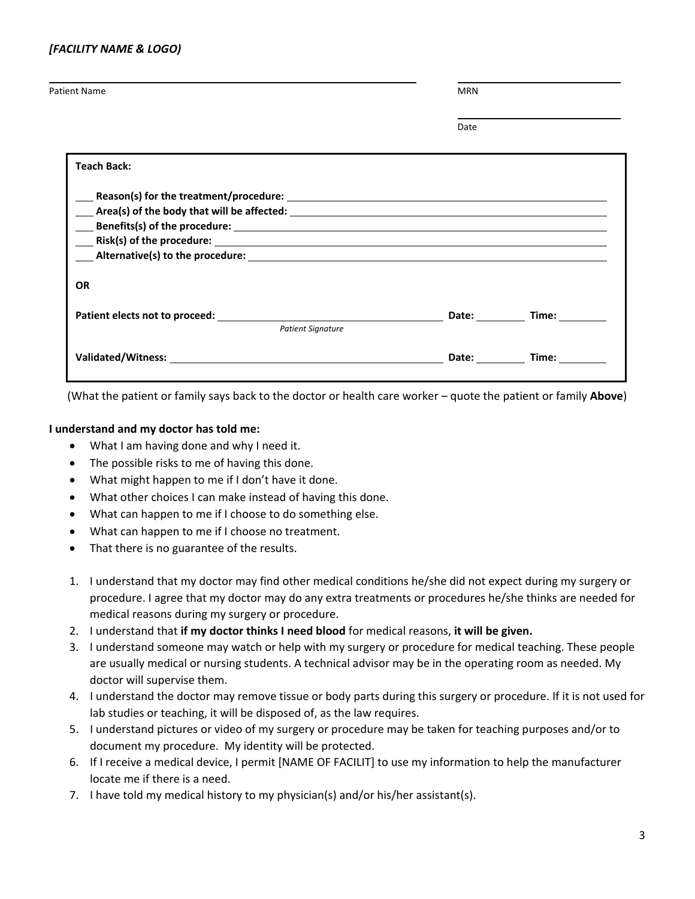| <b>Patient Name</b> | MRN |
|---------------------|-----|
|                     |     |

Date

| <b>Teach Back:</b>                                                                                             |                                                                                                                                                                                                                                |             |  |  |  |
|----------------------------------------------------------------------------------------------------------------|--------------------------------------------------------------------------------------------------------------------------------------------------------------------------------------------------------------------------------|-------------|--|--|--|
|                                                                                                                |                                                                                                                                                                                                                                |             |  |  |  |
| OR                                                                                                             |                                                                                                                                                                                                                                |             |  |  |  |
| <b>Patient Signature</b>                                                                                       |                                                                                                                                                                                                                                | Date: Time: |  |  |  |
| Validated/Witness: Universe of the Contract of the Contract of the Contract of the Contract of the Contract of | Date: the contract of the contract of the contract of the contract of the contract of the contract of the contract of the contract of the contract of the contract of the contract of the contract of the contract of the cont | Time: Time  |  |  |  |

(What the patient or family says back to the doctor or health care worker – quote the patient or family **Above**)

#### **I understand and my doctor has told me:**

- What I am having done and why I need it.
- The possible risks to me of having this done.
- What might happen to me if I don't have it done.
- What other choices I can make instead of having this done.
- What can happen to me if I choose to do something else.
- What can happen to me if I choose no treatment.
- That there is no guarantee of the results.
- 1. I understand that my doctor may find other medical conditions he/she did not expect during my surgery or procedure. I agree that my doctor may do any extra treatments or procedures he/she thinks are needed for medical reasons during my surgery or procedure.
- 2. I understand that **if my doctor thinks I need blood** for medical reasons, **it will be given.**
- 3. I understand someone may watch or help with my surgery or procedure for medical teaching. These people are usually medical or nursing students. A technical advisor may be in the operating room as needed. My doctor will supervise them.
- 4. I understand the doctor may remove tissue or body parts during this surgery or procedure. If it is not used for lab studies or teaching, it will be disposed of, as the law requires.
- 5. I understand pictures or video of my surgery or procedure may be taken for teaching purposes and/or to document my procedure. My identity will be protected.
- 6. If I receive a medical device, I permit [NAME OF FACILIT] to use my information to help the manufacturer locate me if there is a need.
- 7. I have told my medical history to my physician(s) and/or his/her assistant(s).